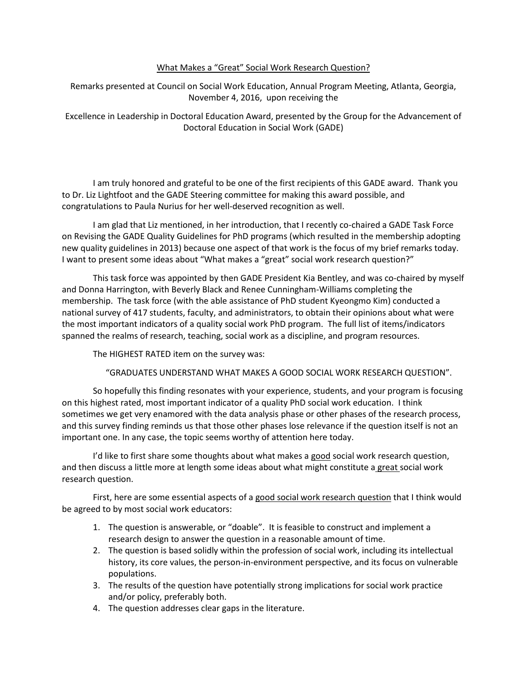## What Makes a "Great" Social Work Research Question?

Remarks presented at Council on Social Work Education, Annual Program Meeting, Atlanta, Georgia, November 4, 2016, upon receiving the

Excellence in Leadership in Doctoral Education Award, presented by the Group for the Advancement of Doctoral Education in Social Work (GADE)

I am truly honored and grateful to be one of the first recipients of this GADE award. Thank you to Dr. Liz Lightfoot and the GADE Steering committee for making this award possible, and congratulations to Paula Nurius for her well-deserved recognition as well.

I am glad that Liz mentioned, in her introduction, that I recently co-chaired a GADE Task Force on Revising the GADE Quality Guidelines for PhD programs (which resulted in the membership adopting new quality guidelines in 2013) because one aspect of that work is the focus of my brief remarks today. I want to present some ideas about "What makes a "great" social work research question?"

This task force was appointed by then GADE President Kia Bentley, and was co-chaired by myself and Donna Harrington, with Beverly Black and Renee Cunningham-Williams completing the membership. The task force (with the able assistance of PhD student Kyeongmo Kim) conducted a national survey of 417 students, faculty, and administrators, to obtain their opinions about what were the most important indicators of a quality social work PhD program. The full list of items/indicators spanned the realms of research, teaching, social work as a discipline, and program resources.

The HIGHEST RATED item on the survey was:

"GRADUATES UNDERSTAND WHAT MAKES A GOOD SOCIAL WORK RESEARCH QUESTION".

So hopefully this finding resonates with your experience, students, and your program is focusing on this highest rated, most important indicator of a quality PhD social work education. I think sometimes we get very enamored with the data analysis phase or other phases of the research process, and this survey finding reminds us that those other phases lose relevance if the question itself is not an important one. In any case, the topic seems worthy of attention here today.

I'd like to first share some thoughts about what makes a good social work research question, and then discuss a little more at length some ideas about what might constitute a great social work research question.

First, here are some essential aspects of a good social work research question that I think would be agreed to by most social work educators:

- 1. The question is answerable, or "doable". It is feasible to construct and implement a research design to answer the question in a reasonable amount of time.
- 2. The question is based solidly within the profession of social work, including its intellectual history, its core values, the person-in-environment perspective, and its focus on vulnerable populations.
- 3. The results of the question have potentially strong implications for social work practice and/or policy, preferably both.
- 4. The question addresses clear gaps in the literature.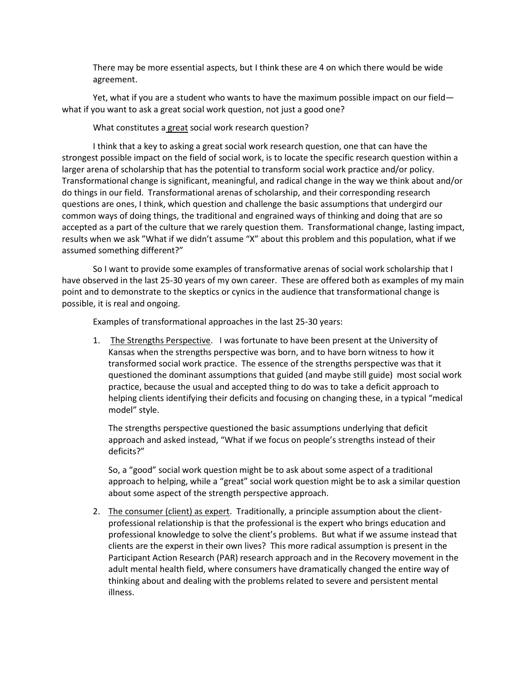There may be more essential aspects, but I think these are 4 on which there would be wide agreement.

Yet, what if you are a student who wants to have the maximum possible impact on our field what if you want to ask a great social work question, not just a good one?

What constitutes a great social work research question?

I think that a key to asking a great social work research question, one that can have the strongest possible impact on the field of social work, is to locate the specific research question within a larger arena of scholarship that has the potential to transform social work practice and/or policy. Transformational change is significant, meaningful, and radical change in the way we think about and/or do things in our field. Transformational arenas of scholarship, and their corresponding research questions are ones, I think, which question and challenge the basic assumptions that undergird our common ways of doing things, the traditional and engrained ways of thinking and doing that are so accepted as a part of the culture that we rarely question them. Transformational change, lasting impact, results when we ask "What if we didn't assume "X" about this problem and this population, what if we assumed something different?"

So I want to provide some examples of transformative arenas of social work scholarship that I have observed in the last 25-30 years of my own career. These are offered both as examples of my main point and to demonstrate to the skeptics or cynics in the audience that transformational change is possible, it is real and ongoing.

Examples of transformational approaches in the last 25-30 years:

1. The Strengths Perspective. I was fortunate to have been present at the University of Kansas when the strengths perspective was born, and to have born witness to how it transformed social work practice. The essence of the strengths perspective was that it questioned the dominant assumptions that guided (and maybe still guide) most social work practice, because the usual and accepted thing to do was to take a deficit approach to helping clients identifying their deficits and focusing on changing these, in a typical "medical model" style.

The strengths perspective questioned the basic assumptions underlying that deficit approach and asked instead, "What if we focus on people's strengths instead of their deficits?"

So, a "good" social work question might be to ask about some aspect of a traditional approach to helping, while a "great" social work question might be to ask a similar question about some aspect of the strength perspective approach.

2. The consumer (client) as expert. Traditionally, a principle assumption about the clientprofessional relationship is that the professional is the expert who brings education and professional knowledge to solve the client's problems. But what if we assume instead that clients are the experst in their own lives? This more radical assumption is present in the Participant Action Research (PAR) research approach and in the Recovery movement in the adult mental health field, where consumers have dramatically changed the entire way of thinking about and dealing with the problems related to severe and persistent mental illness.